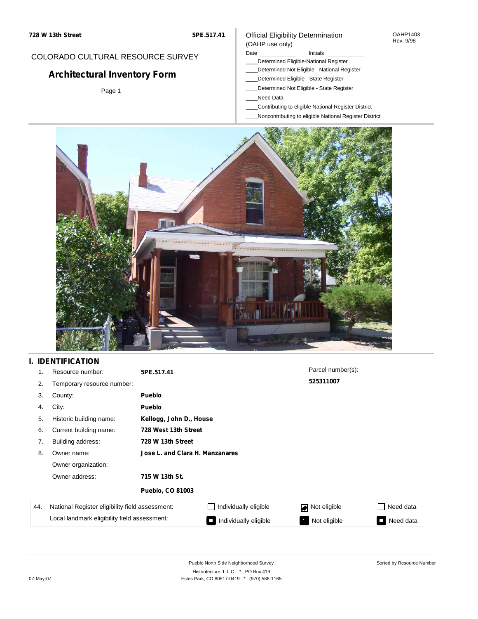**5PE.517.41**

## COLORADO CULTURAL RESOURCE SURVEY

# **Architectural Inventory Form**

Page 1

#### Official Eligibility Determination (OAHP use only)

Date **Initials** Initials

- \_\_\_\_Determined Eligible-National Register
- \_\_\_\_Determined Not Eligible National Register
- \_\_\_\_Determined Eligible State Register
- \_\_\_\_Determined Not Eligible State Register
- \_\_\_\_Need Data
- \_\_\_\_Contributing to eligible National Register District
- \_\_\_\_Noncontributing to eligible National Register District



## **I. IDENTIFICATION**

| 1.                                           | Resource number:                                | 5PE.517.41              |                       | Parcel number(s): |           |
|----------------------------------------------|-------------------------------------------------|-------------------------|-----------------------|-------------------|-----------|
| 2.                                           | Temporary resource number:                      |                         | 525311007             |                   |           |
| 3.                                           | County:                                         | Pueblo                  |                       |                   |           |
| 4.                                           | City:                                           | <b>Pueblo</b>           |                       |                   |           |
| 5.                                           | Historic building name:                         | Kellogg, John D., House |                       |                   |           |
| 6.                                           | Current building name:                          | 728 West 13th Street    |                       |                   |           |
| 7.                                           | Building address:                               | 728 W 13th Street       |                       |                   |           |
| 8.                                           | Jose L. and Clara H. Manzanares<br>Owner name:  |                         |                       |                   |           |
|                                              | Owner organization:                             |                         |                       |                   |           |
|                                              | Owner address:                                  | 715 W 13th St.          |                       |                   |           |
|                                              |                                                 | <b>Pueblo, CO 81003</b> |                       |                   |           |
| 44.                                          | National Register eligibility field assessment: |                         | Individually eligible | Not eligible      | Need data |
| Local landmark eligibility field assessment: |                                                 |                         | Individually eligible | Not eligible<br>ъ | Need data |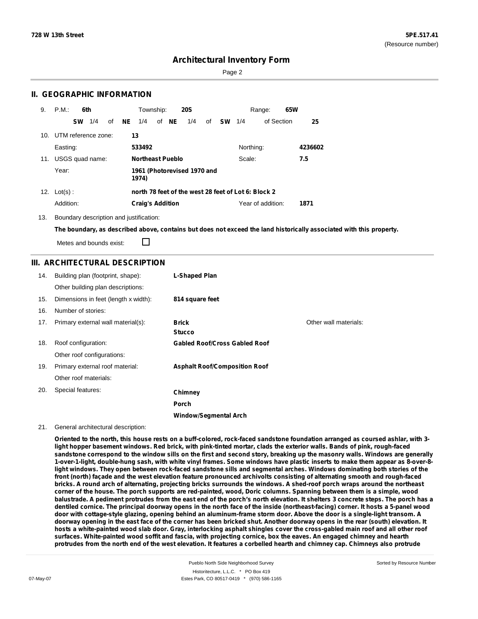Sorted by Resource Number

## **Architectural Inventory Form**

Page 2

### **II. GEOGRAPHIC INFORMATION**

| 9.  | P.M.                |           | 6th             |    |    | Township:               |       | <b>20S</b>                  |    |               |           | Range:                                              | 65W |         |
|-----|---------------------|-----------|-----------------|----|----|-------------------------|-------|-----------------------------|----|---------------|-----------|-----------------------------------------------------|-----|---------|
|     |                     | <b>SW</b> | 1/4             | of | NE | 1/4                     | of NE | 1/4                         | of | <b>SW</b> 1/4 |           | of Section                                          |     | 25      |
| 10. | UTM reference zone: |           |                 |    |    | 13                      |       |                             |    |               |           |                                                     |     |         |
|     | Easting:            |           |                 |    |    | 533492                  |       |                             |    |               | Northing: |                                                     |     | 4236602 |
| 11. |                     |           | USGS quad name: |    |    | <b>Northeast Pueblo</b> |       |                             |    |               | Scale:    |                                                     |     | 7.5     |
|     | Year:               |           |                 |    |    | 1974)                   |       | 1961 (Photorevised 1970 and |    |               |           |                                                     |     |         |
|     | 12. $Lot(s)$ :      |           |                 |    |    |                         |       |                             |    |               |           | north 78 feet of the west 28 feet of Lot 6: Block 2 |     |         |
|     | Addition:           |           |                 |    |    | <b>Craig's Addition</b> |       |                             |    |               |           | Year of addition:                                   |     | 1871    |

13. Boundary description and justification:

The boundary, as described above, contains but does not exceed the land historically associated with this property.

Metes and bounds exist:

П

#### **III. ARCHITECTURAL DESCRIPTION**

| 14. | Building plan (footprint, shape):    | <b>L-Shaped Plan</b>                 |                       |
|-----|--------------------------------------|--------------------------------------|-----------------------|
|     | Other building plan descriptions:    |                                      |                       |
| 15. | Dimensions in feet (length x width): | 814 square feet                      |                       |
| 16. | Number of stories:                   |                                      |                       |
| 17. | Primary external wall material(s):   | <b>Brick</b>                         | Other wall materials: |
|     |                                      | <b>Stucco</b>                        |                       |
| 18. | Roof configuration:                  | <b>Gabled Roof/Cross Gabled Roof</b> |                       |
|     | Other roof configurations:           |                                      |                       |
| 19. | Primary external roof material:      | <b>Asphalt Roof/Composition Roof</b> |                       |
|     | Other roof materials:                |                                      |                       |
| 20. | Special features:                    | Chimney                              |                       |
|     |                                      | <b>Porch</b>                         |                       |
|     |                                      | <b>Window/Seamental Arch</b>         |                       |

#### 21. General architectural description:

Oriented to the north, this house rests on a buff-colored, rock-faced sandstone foundation arranged as coursed ashlar, with 3light hopper basement windows. Red brick, with pink-tinted mortar, clads the exterior walls. Bands of pink, rough-faced sandstone correspond to the window sills on the first and second story, breaking up the masonry walls. Windows are generally 1-over-1-light, double-hung sash, with white vinyl frames. Some windows have plastic inserts to make them appear as 8-over-8light windows. They open between rock-faced sandstone sills and segmental arches. Windows dominating both stories of the front (north) façade and the west elevation feature pronounced archivolts consisting of alternating smooth and rough-faced bricks. A round arch of alternating, projecting bricks surrounds the windows. A shed-roof porch wraps around the northeast corner of the house. The porch supports are red-painted, wood, Doric columns. Spanning between them is a simple, wood balustrade. A pediment protrudes from the east end of the porch's north elevation. It shelters 3 concrete steps. The porch has a dentiled cornice. The principal doorway opens in the north face of the inside (northeast-facing) corner. It hosts a 5-panel wood door with cottage-style glazing, opening behind an aluminum-frame storm door. Above the door is a single-light transom. A doorway opening in the east face of the corner has been bricked shut. Another doorway opens in the rear (south) elevation. It hosts a white-painted wood slab door. Gray, interlocking asphalt shingles cover the cross-gabled main roof and all other roof surfaces. White-painted wood soffit and fascia, with projecting cornice, box the eaves. An engaged chimney and hearth protrudes from the north end of the west elevation. It features a corbelled hearth and chimney cap. Chimneys also protrude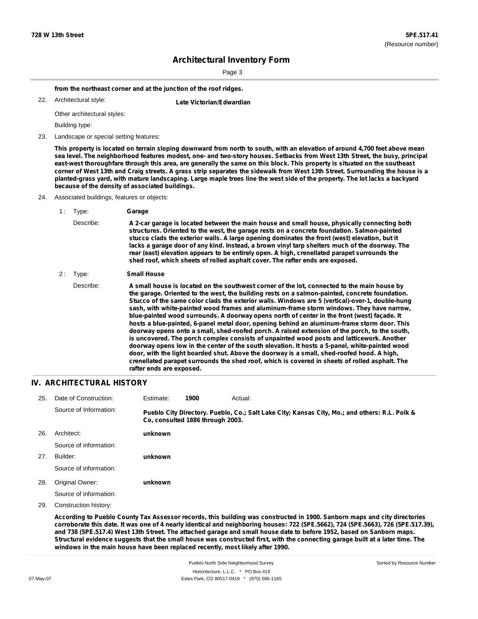Page 3

**from the northeast corner and at the junction of the roof ridges.**

Architectural style: 22. **Late Victorian/Edwardian**

Other architectural styles:

Building type:

23. Landscape or special setting features:

This property is located on terrain sloping downward from north to south, with an elevation of around 4,700 feet above mean sea level. The neighborhood features modest, one- and two-story houses. Setbacks from West 13th Street, the busy, principal east-west thoroughfare through this area, are generally the same on this block. This property is situated on the southeast corner of West 13th and Craig streets. A grass strip separates the sidewalk from West 13th Street. Surrounding the house is a planted-grass yard, with mature landscaping. Large maple trees line the west side of the property. The lot lacks a backyard **because of the density of associated buildings.**

- 24. Associated buildings, features or objects:
	- 1 : Type: **Garage**
		- Describe: **A 2-car garage is located between the main house and small house, physically connecting both structures. Oriented to the west, the garage rests on a concrete foundation. Salmon-painted stucco clads the exterior walls. A large opening dominates the front (west) elevation, but it lacks a garage door of any kind. Instead, a brown vinyl tarp shelters much of the doorway. The rear (east) elevation appears to be entirely open. A high, crenellated parapet surrounds the shed roof, which sheets of rolled asphalt cover. The rafter ends are exposed.**

#### 2 : Type: **Small House**

Describe: A small house is located on the southwest corner of the lot, connected to the main house by **the garage. Oriented to the west, the building rests on a salmon-painted, concrete foundation. Stucco of the same color clads the exterior walls. Windows are 5 (vertical)-over-1, double-hung sash, with white-painted wood frames and aluminum-frame storm windows. They have narrow, blue-painted wood surrounds. A doorway opens north of center in the front (west) façade. It hosts a blue-painted, 6-panel metal door, opening behind an aluminum-frame storm door. This doorway opens onto a small, shed-roofed porch. A raised extension of the porch, to the south, is uncovered. The porch complex consists of unpainted wood posts and latticework. Another doorway opens low in the center of the south elevation. It hosts a 5-panel, white-painted wood door, with the light boarded shut. Above the doorway is a small, shed-roofed hood. A high, crenellated parapet surrounds the shed roof, which is covered in sheets of rolled asphalt. The rafter ends are exposed.**

#### **IV. ARCHITECTURAL HISTORY**

| 25. | Date of Construction:  | Estimate: | 1900                             | Actual:                                                                                       |
|-----|------------------------|-----------|----------------------------------|-----------------------------------------------------------------------------------------------|
|     | Source of Information: |           | Co. consulted 1886 through 2003. | Pueblo City Directory. Pueblo, Co.; Salt Lake City; Kansas City, Mo.; and others: R.L. Polk & |
| 26. | Architect:             | unknown   |                                  |                                                                                               |
|     | Source of information: |           |                                  |                                                                                               |
| 27. | Builder:               | unknown   |                                  |                                                                                               |
|     | Source of information: |           |                                  |                                                                                               |
| 28. | Original Owner:        | unknown   |                                  |                                                                                               |
|     | Source of information: |           |                                  |                                                                                               |

29. Construction history:

According to Pueblo County Tax Assessor records, this building was constructed in 1900. Sanborn maps and city directories corroborate this date. It was one of 4 nearly identical and neighboring houses: 722 (5PE.5662), 724 (5PE.5663), 726 (5PE.517.39), and 738 (5PE.517.4) West 13th Street. The attached garage and small house date to before 1952, based on Sanborn maps. Structural evidence suggests that the small house was constructed first, with the connecting garage built at a later time. The **windows in the main house have been replaced recently, most likely after 1990.**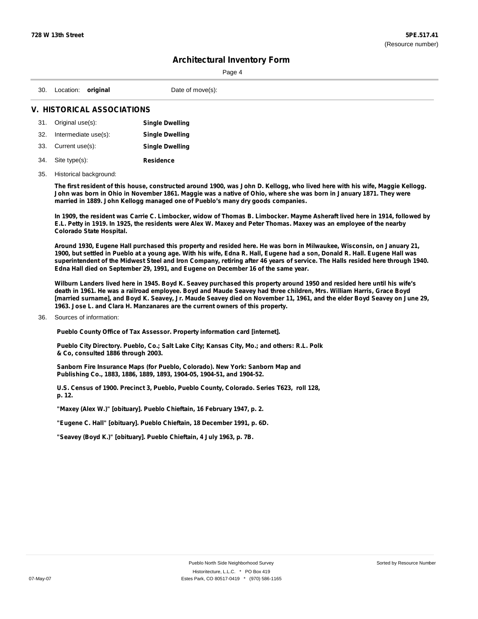| ⋍<br>ır<br>- 7 |
|----------------|
|----------------|

| 30. Location:<br>Date of move(s);<br>original |
|-----------------------------------------------|
|-----------------------------------------------|

### **V. HISTORICAL ASSOCIATIONS**

|     | 31. Original use(s): | <b>Single Dwelling</b> |
|-----|----------------------|------------------------|
| 32. | Intermediate use(s): | <b>Single Dwelling</b> |
|     | 33. Current use(s):  | <b>Single Dwelling</b> |
| 34. | Site type(s):        | <b>Residence</b>       |

### 35. Historical background:

The first resident of this house, constructed around 1900, was John D. Kellogg, who lived here with his wife, Maggie Kellogg. John was born in Ohio in November 1861. Maggie was a native of Ohio, where she was born in January 1871. They were **married in 1889. John Kellogg managed one of Pueblo's many dry goods companies.**

In 1909, the resident was Carrie C. Limbocker, widow of Thomas B. Limbocker. Mayme Asheraft lived here in 1914, followed by E.L. Petty in 1919. In 1925, the residents were Alex W. Maxey and Peter Thomas. Maxey was an employee of the nearby **Colorado State Hospital.**

Around 1930, Eugene Hall purchased this property and resided here. He was born in Milwaukee, Wisconsin, on January 21, 1900, but settled in Pueblo at a young age. With his wife, Edna R. Hall, Eugene had a son, Donald R. Hall. Eugene Hall was superintendent of the Midwest Steel and Iron Company, retiring after 46 years of service. The Halls resided here through 1940. **Edna Hall died on September 29, 1991, and Eugene on December 16 of the same year.**

Wilburn Landers lived here in 1945. Boyd K. Seavey purchased this property around 1950 and resided here until his wife's death in 1961. He was a railroad employee. Boyd and Maude Seavey had three children, Mrs. William Harris, Grace Boyd [married surname], and Boyd K. Seavey, Jr. Maude Seavey died on November 11, 1961, and the elder Boyd Seavey on June 29, **1963. Jose L. and Clara H. Manzanares are the current owners of this property.**

#### 36. Sources of information:

**Pueblo County Office of Tax Assessor. Property information card [internet].**

**Pueblo City Directory. Pueblo, Co.; Salt Lake City; Kansas City, Mo.; and others: R.L. Polk & Co, consulted 1886 through 2003.**

**Sanborn Fire Insurance Maps (for Pueblo, Colorado). New York: Sanborn Map and Publishing Co., 1883, 1886, 1889, 1893, 1904-05, 1904-51, and 1904-52.**

**U.S. Census of 1900. Precinct 3, Pueblo, Pueblo County, Colorado. Series T623, roll 128, p. 12.**

**"Maxey (Alex W.)" [obituary]. Pueblo Chieftain, 16 February 1947, p. 2.**

**"Eugene C. Hall" [obituary]. Pueblo Chieftain, 18 December 1991, p. 6D.**

**"Seavey (Boyd K.)" [obituary]. Pueblo Chieftain, 4 July 1963, p. 7B.**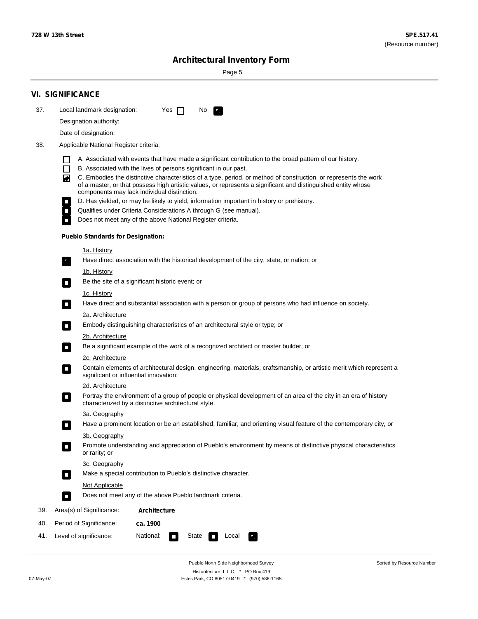Sorted by Resource Number

# **Architectural Inventory Form**

Page 5

|     | <b>VI. SIGNIFICANCE</b>                                                                                                                                                                                                                                                               |
|-----|---------------------------------------------------------------------------------------------------------------------------------------------------------------------------------------------------------------------------------------------------------------------------------------|
| 37. | Local landmark designation:<br>No.<br>Yes $\Box$                                                                                                                                                                                                                                      |
|     | Designation authority:                                                                                                                                                                                                                                                                |
|     | Date of designation:                                                                                                                                                                                                                                                                  |
| 38. | Applicable National Register criteria:                                                                                                                                                                                                                                                |
|     | A. Associated with events that have made a significant contribution to the broad pattern of our history.                                                                                                                                                                              |
|     | B. Associated with the lives of persons significant in our past.<br>$\Box$                                                                                                                                                                                                            |
|     | C. Embodies the distinctive characteristics of a type, period, or method of construction, or represents the work<br>◙<br>of a master, or that possess high artistic values, or represents a significant and distinguished entity whose<br>components may lack individual distinction. |
|     | D. Has yielded, or may be likely to yield, information important in history or prehistory.                                                                                                                                                                                            |
|     | Qualifies under Criteria Considerations A through G (see manual).                                                                                                                                                                                                                     |
|     | Does not meet any of the above National Register criteria.                                                                                                                                                                                                                            |
|     | <b>Pueblo Standards for Designation:</b>                                                                                                                                                                                                                                              |
|     | <u>1a. History</u>                                                                                                                                                                                                                                                                    |
|     | Have direct association with the historical development of the city, state, or nation; or<br>$\overline{\phantom{a}}$ .                                                                                                                                                               |
|     | <u>1b. History</u>                                                                                                                                                                                                                                                                    |
|     | Be the site of a significant historic event; or<br>$\Box$                                                                                                                                                                                                                             |
|     | 1c. History<br>Have direct and substantial association with a person or group of persons who had influence on society.<br>$\overline{\phantom{a}}$                                                                                                                                    |
|     | 2a. Architecture                                                                                                                                                                                                                                                                      |
|     | Embody distinguishing characteristics of an architectural style or type; or<br>$\Box$                                                                                                                                                                                                 |
|     | 2b. Architecture                                                                                                                                                                                                                                                                      |
|     | Be a significant example of the work of a recognized architect or master builder, or<br>$\Box$                                                                                                                                                                                        |
|     | 2c. Architecture                                                                                                                                                                                                                                                                      |
|     | Contain elements of architectural design, engineering, materials, craftsmanship, or artistic merit which represent a<br>О<br>significant or influential innovation;                                                                                                                   |
|     | 2d. Architecture                                                                                                                                                                                                                                                                      |
|     | Portray the environment of a group of people or physical development of an area of the city in an era of history<br>$\Box$<br>characterized by a distinctive architectural style.                                                                                                     |
|     | 3a. Geography                                                                                                                                                                                                                                                                         |
|     | Have a prominent location or be an established, familiar, and orienting visual feature of the contemporary city, or<br>П                                                                                                                                                              |
|     | 3b. Geography                                                                                                                                                                                                                                                                         |
|     | Promote understanding and appreciation of Pueblo's environment by means of distinctive physical characteristics<br>or rarity; or                                                                                                                                                      |
|     | 3c. Geography                                                                                                                                                                                                                                                                         |
|     | Make a special contribution to Pueblo's distinctive character.<br>О                                                                                                                                                                                                                   |
|     | Not Applicable                                                                                                                                                                                                                                                                        |
|     | Does not meet any of the above Pueblo landmark criteria.<br>$\overline{\phantom{a}}$                                                                                                                                                                                                  |
| 39. | Area(s) of Significance:<br><b>Architecture</b>                                                                                                                                                                                                                                       |
| 40. | Period of Significance:<br>ca. 1900                                                                                                                                                                                                                                                   |
| 41. | National:<br>Level of significance:<br>State<br>Local<br><b>The Second</b><br>У.,                                                                                                                                                                                                     |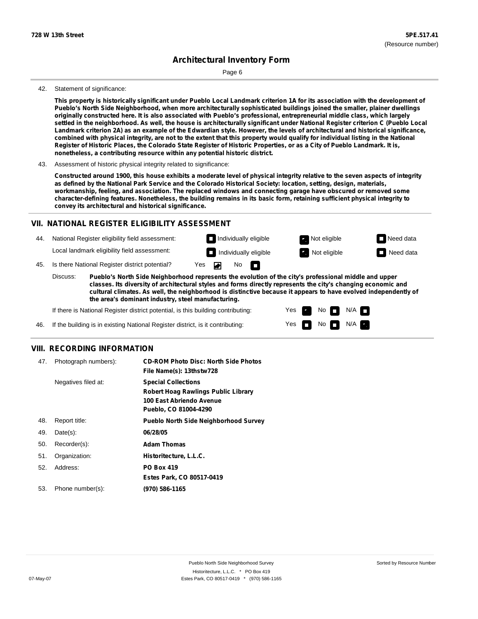Page 6

#### 42. Statement of significance:

This property is historically significant under Pueblo Local Landmark criterion 1A for its association with the development of **Pueblo's North Side Neighborhood, when more architecturally sophisticated buildings joined the smaller, plainer dwellings** originally constructed here. It is also associated with Pueblo's professional, entrepreneurial middle class, which largely settled in the neighborhood. As well, the house is architecturally significant under National Register criterion C (Pueblo Local Landmark criterion 2A) as an example of the Edwardian style. However, the levels of architectural and historical significance, combined with physical integrity, are not to the extent that this property would qualify for individual listing in the National Register of Historic Places, the Colorado State Register of Historic Properties, or as a City of Pueblo Landmark. It is, **nonetheless, a contributing resource within any potential historic district.**

Constructed around 1900, this house exhibits a moderate level of physical integrity relative to the seven aspects of integrity as defined by the National Park Service and the Colorado Historical Society: location, setting, design, materials, **workmanship, feeling, and association. The replaced windows and connecting garage have obscured or removed some** character-defining features. Nonetheless, the building remains in its basic form, retaining sufficient physical integrity to **convey its architectural and historical significance.**

#### **VII. NATIONAL REGISTER ELIGIBILITY ASSESSMENT**

44. National Register eligibility field assessment: Local landmark eligibility field assessment:

**Individually eligible Not eligible** Not eligible **Need data** No m

> Yes Yes

No

 $No$   $\neg$   $N/A$ 

 $N/A$ 

**Individually eligible Not eligible** Not eligible **Need data** 

45. Is there National Register district potential? Yes ▰

**Pueblo's North Side Neighborhood represents the evolution of the city's professional middle and upper classes. Its diversity of architectural styles and forms directly represents the city's changing economic and cultural climates. As well, the neighborhood is distinctive because it appears to have evolved independently of the area's dominant industry, steel manufacturing.** Discuss:

If there is National Register district potential, is this building contributing:

If the building is in existing National Register district, is it contributing: 46.

### **VIII. RECORDING INFORMATION**

| 47. | Photograph numbers): | <b>CD-ROM Photo Disc: North Side Photos</b><br>File Name(s): 13thstw728                                                       |
|-----|----------------------|-------------------------------------------------------------------------------------------------------------------------------|
|     | Negatives filed at:  | <b>Special Collections</b><br><b>Robert Hoag Rawlings Public Library</b><br>100 East Abriendo Avenue<br>Pueblo, CO 81004-4290 |
| 48. | Report title:        | <b>Pueblo North Side Neighborhood Survey</b>                                                                                  |
| 49. | $Date(s)$ :          | 06/28/05                                                                                                                      |
| 50. | Recorder(s):         | <b>Adam Thomas</b>                                                                                                            |
| 51. | Organization:        | Historitecture, L.L.C.                                                                                                        |
| 52. | Address:             | <b>PO Box 419</b>                                                                                                             |
|     |                      | Estes Park, CO 80517-0419                                                                                                     |
| 53. | Phone number(s):     | (970) 586-1165                                                                                                                |

<sup>43.</sup> Assessment of historic physical integrity related to significance: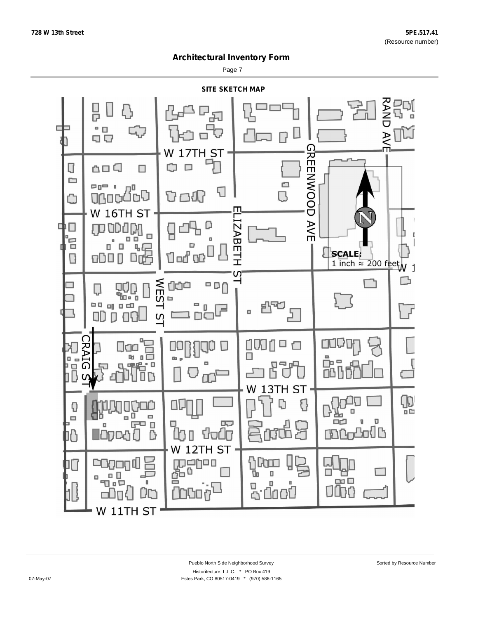Page 7